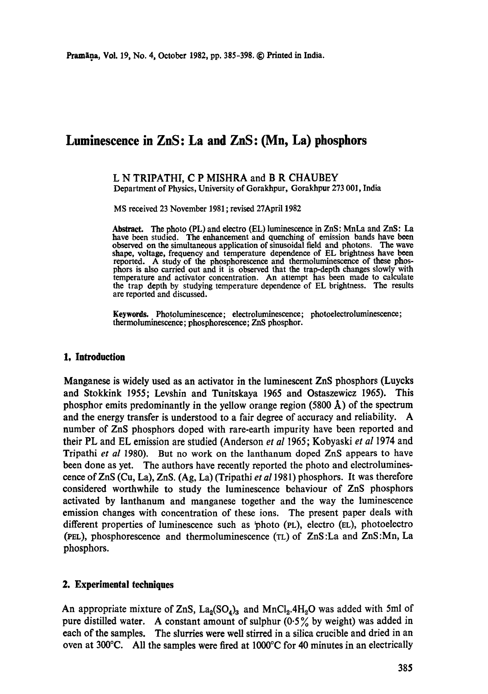# **Luminescence in ZnS: La and ZnS: (Mn, La) phosphors**

#### L N TRIPATHI, C P MISHRA and B R CHAUBEY Department of Physics, University of Gorakhpur, Gorakhpur 273 001, India

MS received 23 November 1981 ; revised 27April 1982

Abstract. The photo (PL) and electro (EL) luminescence in ZnS: MnLa and ZnS: La have been studied. The enhancement and quenching of emission bands have been observed on the simultaneous application of sinusoidal field and photons. The wave shape, voltage, frequency and temperature dependence of EL brightness have been reported. A study of the phosphorescence and thermoluminescence of these phosphors is also carried out and it is observed that the trap-depth changes slowly with temperature and activator concentration. An attempt has been made to calculate the trap depth by studying temperature dependence of EL brightness. The results are reported and discussed.

**Keywords.** Photoluminescence; electroluminescence; photoelectroluminescence; thermoluminescence; phosphorescence; ZnS phosphor.

## **1, Introduction**

Manganese is widely used as an activator in the luminescent ZnS phosphors (Luycks and Stokkink 1955; Levshin and Tunitskaya 1965 and Ostaszewicz 1965). This phosphor emits predominantly in the yellow orange region  $(5800 \text{ Å})$  of the spectrum and the energy transfer is understood to a fair degree of accuracy and reliability. A number of ZnS phosphors doped with rare-earth impurity have been reported and their PL and EL emission are studied (Anderson *et al* 1965; Kobyaski *et al* 1974 and Tripathi *et al* 1980). But no work on the lanthanum doped ZnS appears to have been done as yet. The authors have recently reported the photo and electroluminescence ofZnS (Cu, La), ZnS. (Ag, La) (Tripathi *et a11981)* phosphors. It was therefore considered worthwhile to study the luminescence behaviour of ZnS phosphors activated by lanthanum and manganese together and the way the luminescence emission changes with concentration of these ions. The present paper deals with different properties of luminescence such as  $\phi$  photo (PL), electro (EL), photoelectro 0'EL), phosphorescence and thermoluminescence (TL) of ZnS :La and ZnS :Mn, La phosphors.

## **2. Experimental techniques**

An appropriate mixture of ZnS,  $La_2(SO_4)_3$  and MnCl<sub>2</sub>.4H<sub>2</sub>O was added with 5ml of pure distilled water. A constant amount of sulphur  $(0.5\%$  by weight) was added in each of the samples. The slurries were well stirred in a silica crucible and dried in an oven at 300°C. All the samples were fired at 1000°C for 40 minutes in an electrically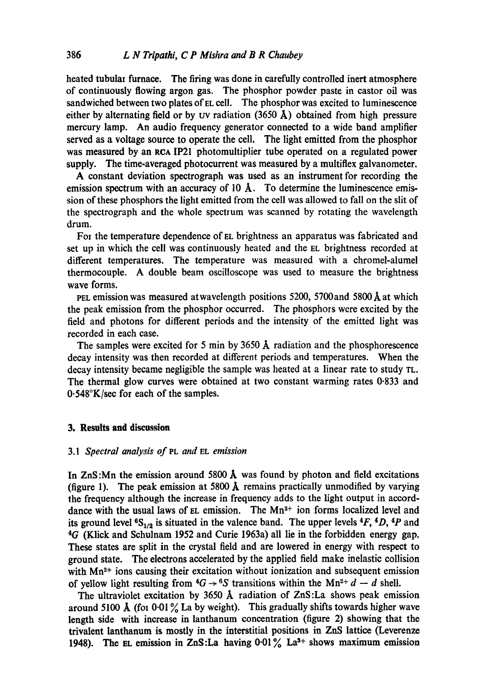heated tubulal furnace. The firing was done in carefully controlled inert atmosphere of continuously flowing argon gas. The phosphor powder paste in castor oil was sandwiched between two plates of EL cell. The phosphor was excited to luminescence either by alternating field or by UV radiation (3650  $\AA$ ) obtained from high pressure mercury lamp. An audio frequency generator connected to a wide band amplifier served as a voltage source to operate the cell. The light emitted from the phosphor was measured by an RCA IP21 photomultiplier tube operated on a regulated power supply. The time-averaged photocurrent was measured by a multiflex galvanometer.

A constant deviation spectrograph was used as an instrument for recording the emission spectrum with an accuracy of 10  $\AA$ . To determine the luminescence emission of these phosphors the light emitted from the cell was allowed to fall on the slit of the spectrograph and the whole spectrum was scanned by rotating the wavelength drum.

For the temperature dependence of EL brightness an apparatus was fabricated and set up in which the cell was continuously heated and the EL brightness recorded at different temperatures. The temperature was measured with a chromel-alumel thermocouple. A double beam oscilloscope was used to measure the brightness wave forms.

PEL emission was measured at wavelength positions 5200, 5700 and 5800  $\AA$  at which the peak emission from the phosphor occurred. The phosphors were excited by the field and photons for different periods and the intensity of the emitted light was recorded in each case.

The samples were excited for 5 min by  $3650 \text{ Å}$  radiation and the phosphorescence decay intensity was then recorded at different periods and temperatures. When the decay intensity became negligible the sample was heated at a linear rate to study TL. The thermal glow curves were obtained at two constant warming rates 0.833 and 0.548°K/see for each of the samples.

## **3. Results and discussion**

### *3.1 Spectral analysis of PL and EL emission*

In  $ZnS:Mn$  the emission around 5800 Å was found by photon and field excitations (figure 1). The peak emission at 5800  $\AA$  remains practically unmodified by varying the frequency although the increase in frequency adds to the light output in accorddance with the usual laws of  $EL$  emission. The  $Mn^{2+}$  ion forms localized level and its ground level  ${}^{6}S_{1/2}$  is situated in the valence band. The upper levels  ${}^{4}F$ ,  ${}^{4}D$ ,  ${}^{4}P$  and 4G (Klick and Schulnam 1952 and Curie 1963a) all lie in the forbidden energy gap. These states are split in the crystal field and are lowered in energy with respect to ground state. The electrons accelerated by the applied field make inelastic collision with  $Mn^{2+}$  ions causing their excitation without ionization and subsequent emission of yellow light resulting from  ${}^4G \rightarrow {}^6S$  transitions within the Mn<sup>2+</sup> d – d shell.

The ultraviolet excitation by 3650 Å radiation of  $ZnS$ :La shows peak emission around 5100 Å (for 0.01% La by weight). This gradually shifts towards higher wave length side with increase in lanthanum concentration (figure 2) showing that the trivalent lanthanum is mostly in the interstitial positions in ZnS lattice (Leverenze 1948). The EL emission in ZnS:La having  $0.01\%$  La<sup>3+</sup> shows maximum emission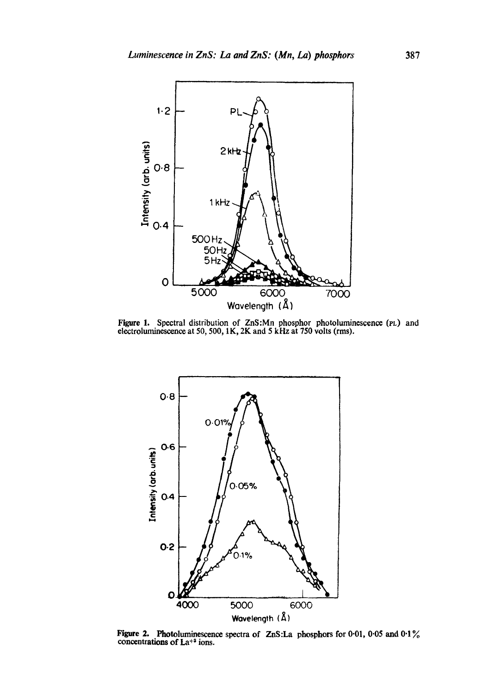

Figure 1. Spectral distribution of ZnS:Mn phosphor photoluminescence (PL) and electroluminescence at 50, 500, 1K, 2K and 5 kHz at 750 volts (rms).



**Figure 2.** Photoluminescence spectra of ZnS:La phosphors for 0.01, 0.05 and 0.1% concentrations of La<sup>+3</sup> ions.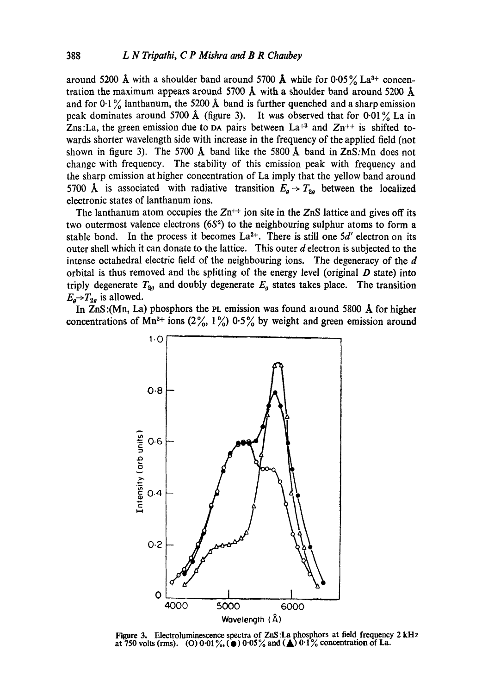around 5200 Å with a shoulder band around 5700 Å while for 0.05% La<sup>3+</sup> concentration the maximum appears around 5700  $\AA$  with a shoulder band around 5200  $\AA$ and for  $0.1\%$  lanthanum, the 5200 Å band is further quenched and a sharp emission peak dominates around 5700 Å (figure 3). It was observed that for 0.01% La in Zns:La, the green emission due to DA pairs between  $La^{+3}$  and  $Zn^{++}$  is shifted towards shorter wavelength side with increase in the frequency of the applied field (not shown in figure 3). The 5700  $\AA$  band like the 5800  $\AA$  band in ZnS:Mn does not change with frequency. The stability of this emission peak with frequency and the sharp emission at higher concentration of La imply that the yellow band around 5700 Å is associated with radiative transition  $E_g \rightarrow T_{2g}$  between the localized electronic states of lanthanum ions.

The lanthanum atom occupies the  $Zn^{++}$  ion site in the  $ZnS$  lattice and gives off its two outermost valence electrons  $(6S<sup>2</sup>)$  to the neighbouring sulphur atoms to form a stable bond. In the process it becomes  $La^{2+}$ . There is still one 5d' electron on its outer shell which it can donate to the lattice. This outer d electron is subjected to the intense octahedral electric field of the neighbouring ions. The degeneracy of the  $d$ orbital is thus removed and the splitting of the energy level (original  $D$  state) into triply degenerate  $T_{2g}$  and doubly degenerate  $E_g$  states takes place. The transition  $E_g \rightarrow T_{2g}$  is allowed.

In ZnS :(Mn, La) phosphors the PL emission was found around 5800 A for higher concentrations of Mn<sup>2+</sup> ions (2%, 1%) 0.5% by weight and green emission around



**Figure 3.** Electroluminescence spectra of ZnS:La phosphors at field frequency 2 kHz at 750 volts (rms). (O)  $0.01\%$  ( $\bullet$ )  $0.05\%$  and ( $\bullet$ )  $0.1\%$  concentration of La.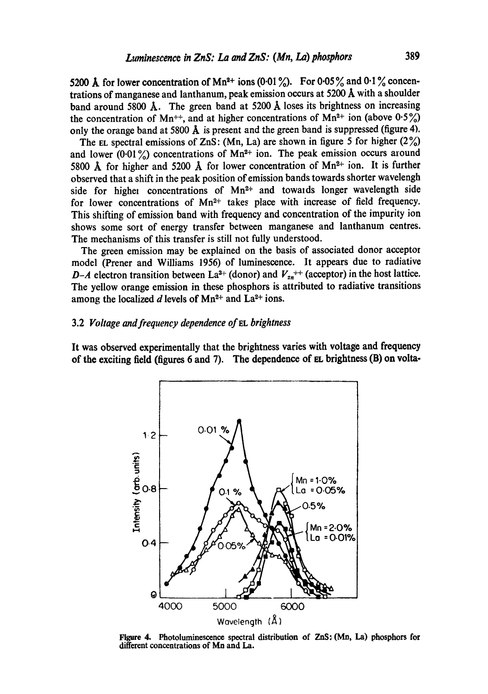5200 Å for lower concentration of Mn<sup>2+</sup> ions (0.01%). For 0.05% and 0.1% concentrations of manganese and lanthanum, peak emission occurs at 5200  $\AA$  with a shoulder band around 5800 Å. The green band at 5200 Å loses its brightness on increasing the concentration of Mn<sup>++</sup>, and at higher concentrations of Mn<sup>2+</sup> ion (above  $0.5\%$ ) only the orange band at 5800  $\AA$  is present and the green band is suppressed (figure 4).

The EL spectral emissions of ZnS: (Mn, La) are shown in figure 5 for higher  $(2\%)$ and lower (0.01%) concentrations of Mn<sup>2+</sup> ion. The peak emission occurs around 5800 Å for higher and 5200 Å for lower concentration of  $Mn^{2+}$  ion. It is further observed that a shift in the peak position of emission bands towards shorter wavelengh side for higher concentrations of Mn<sup>2+</sup> and towards longer wavelength side for lower concentrations of  $Mn^{2+}$  takes place with increase of field frequency. This shifting of emission band with frequency and concentration of the impurity ion shows some sort of energy transfer between manganese and lanthanum centres. The mechanisms of this transfer is still not fully understood.

The green emission may be explained on the basis of associated donor acceptor model (Prener and Williams 1956) of luminescence. It appears due to radiative *D-A* electron transition between La<sup>3+</sup> (donor) and  $V_{2n}$ <sup>++</sup> (acceptor) in the host lattice. The yellow orange emission in these phosphors is attributed to radiative transitions among the localized d levels of  $Mn^{2+}$  and  $La^{2+}$  ions.

## 3.2 *Voltage and frequency dependence of EL brightness*

It was observed experimentally that the brightness varies with voltage and frequency of the exciting field (figures 6 and 7). The dependence of  $EL$  brightness (B) on volta-



Figure 4. Photoluminescence spectral distribution of ZnS: (Mn, La) phosphors for different concentrations of Mn and La.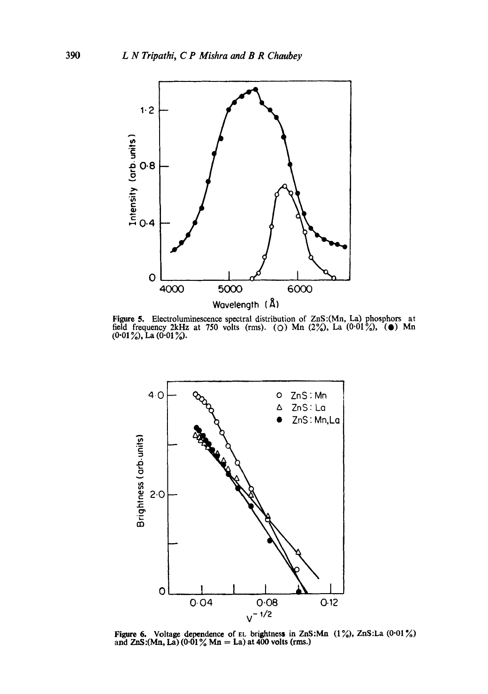

Figure 5. Electrolumincscence spectral distribution of ZnS:(Mn, La) phosphors at field frequency 2kHz at 750 volts (rms). ( $\circ$ ) Mn (2%), La ( $0.01\%$ ), ( $\bullet$ ) Mn (0·01 %), La (0·01 %).



Figure 6. Voltage dependence of EL brightness in ZnS:Mn  $(1\%)$ , ZnS:La  $(0.01\%)$ and  $ZnS:(Mn, La) (0.01\% Mn = La)$  at 400 volts (rms.)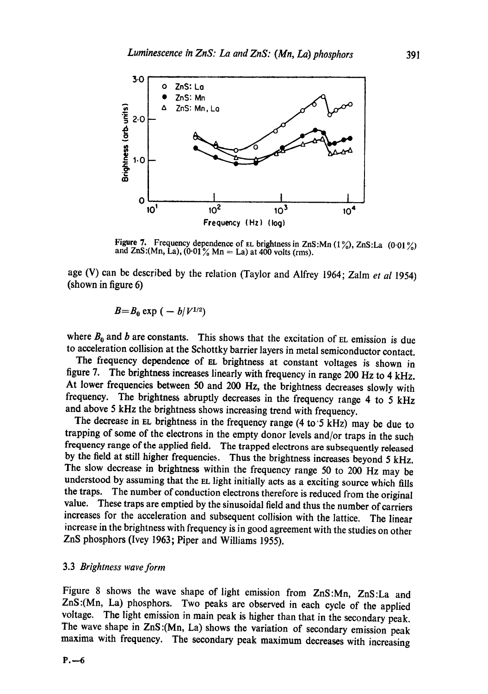

Figure 7. Frequency dependence of EL brightness in ZnS:Mn  $(1\%)$ , ZnS:La  $(0.01\%)$ and ZnS:(Mn, La),  $(0.01\% \text{ Mn} = \text{La})$  at 400 volts (rms).

age (V) can be described by the relation (Taylor and Alfrey 1964; Zalm *et al* 1954) (shown in figure 6)

$$
B=B_0\exp\left(-b/V^{1/2}\right)
$$

where  $B_0$  and b are constants. This shows that the excitation of EL emission is due to acceleration collision at the Schottky barrier layers in metal semiconductor contact.

The frequency dependence of EL brightness at constant voltages is shown in figure 7. The brightness increases linearly with frequency in range 200 Hz to 4 kHz. At lower frequencies between 50 and 200 Hz, the brightness decreases slowly with frequency. The brightness abruptly decreases in the frequency range 4 to 5 kHz and above 5 kHz the brightness shows increasing trend with frequency.

The decrease in EL brightness in the frequency range (4 to'5 kHz) may be due to trapping of some of the electrons in the empty donor levels and/or traps in the such frequency range of the applied field. The trapped electrons are subsequently released by the field at still higher frequencies. Thus the brightness increases beyond 5 kHz. The slow decrease in brightness within the frequency range 50 to 200 Hz may be understood by assuming that the EL light initially acts as a exciting source which fills the traps. The number of conduction electrons therefore is reduced from the original value. These traps are emptied by the sinusoidal field and thus the number of carriers increases for the acceleration and subsequent collision with the lattice. The linear increase in the brightness with frequency is in good agreement with the studies on other ZnS phosphors (Ivey 1963; Piper and Williams 1955).

## 3.3 *Brightness wave form*

Figure 8 shows the wave shape of light emission from ZnS:Mn, ZnS:La and ZnS:(Mn, La) phosphors. Two peaks are observed in each cycle of the applied voltage. The light emission in main peak is higher than that in the secondary peak. The wave shape in ZnS :(Mn, La) shows the variation of secondary emission peak maxima with frequency. The secondary peak maximum decreases with increasing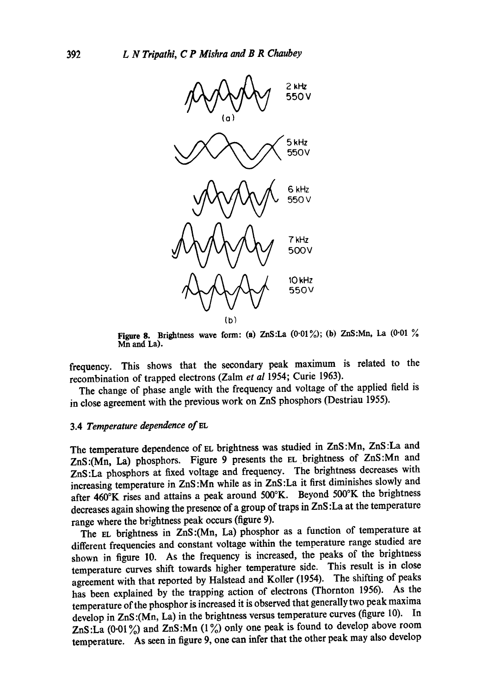

Figure 8. Brightness wave form: (a) ZnS:La  $(0.01\%)$ ; (b) ZnS:Mn, La  $(0.01\%)$ Mn and La).

frequency. This shows that the secondary peak maximum is related to the recombination of trapped electrons (Zalm *et al* 1954; Curie 1963).

The change of phase angle with the frequency and voltage of the applied field is in dose agreement with the previous work on ZnS phosphors (Destriau 1955).

## 3.4 *Temperature dependence of EL*

The temperature dependence of EL brightness was studied in ZnS :Mn, ZnS :La and ZnS:(Mn, La) phosphors. Figure 9 presents the EL brightness of ZnS:Mn and ZnS:La phosphors at fixed voltage and frequency. The brightness decreases with increasing temperature in ZnS :Mn while as in ZnS :La it first diminishes slowly and after 460°K rises and attains a peak around 500°K. Beyond 500°K the brightness decreases again showing the presence of a group of traps in ZnS :La at the temperature range where the brightness peak occurs (figure 9).

The EL brightness in ZnS:(Mn, La) phosphor as a function of temperature at different frequencies and constant voltage within the temperature range studied are shown in figure 10. As the frequency is increased, the peaks of the brightness temperature curves shift towards higher temperature side. This result is in close agreement with that reported by Halstead and Koller (1954). The shifting of peaks has been explained by the trapping action of electrons (Thornton 1956). As the temperature of the phosphor is increased it is observed that generally two peak maxima develop in ZnS :(Mn, La) in the brightness versus temperature curves (figure 10). In ZnS:La  $(0.01\%)$  and ZnS:Mn  $(1\%)$  only one peak is found to develop above room temperature. As seen in figure 9, one can infer that the other peak may also develop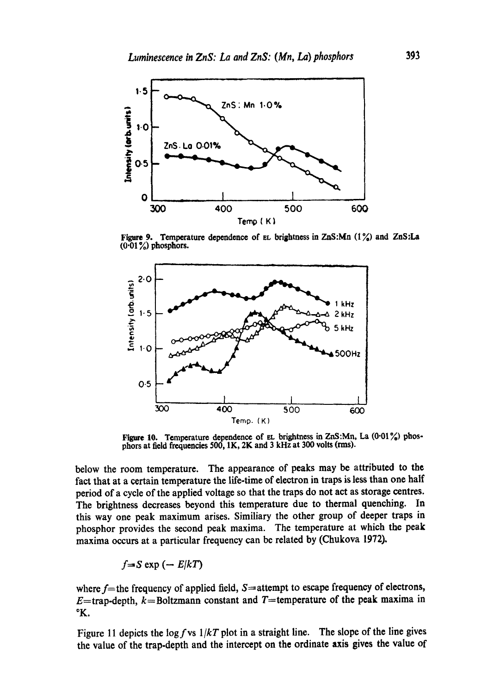

Figure 9. Temperature dependence of EL brightness in ZnS:Mn (1%) and ZnS:La (0.01%) phosphors.



Figure 10. Temperature dependence of EL brightness in ZnS:Mn, La  $(0.01\%)$  phosphors at field frequencies 500, 1K, 2K and 3 kHz at 300 volts (rms).

below the room temperature. The appearance of peaks may be attributed to the fact that at a certain temperature the life-time of electron in traps is less than one half period of a cycle of the applied voltage so that the traps do not act as storage centres. The brightness decreases beyond this temperature due to thermal quenching. In this way one peak maximum arises. Similiary the other group of deeper traps in phosphor provides the second peak maxima. The temperature at which the peak maxima occurs at a particular frequency can be related by (Chukova 1972).

$$
f = S \exp(-E/kT)
$$

where  $f$ =the frequency of applied field,  $S=$ attempt to escape frequency of electrons, E=trap-depth,  $k=$ Boltzmann constant and T=temperature of the peak maxima in °K.

Figure 11 depicts the  $\log f$  vs  $1/kT$  plot in a straight line. The slope of the line gives the value of the trap-depth and the intercept on the ordinate axis gives the value of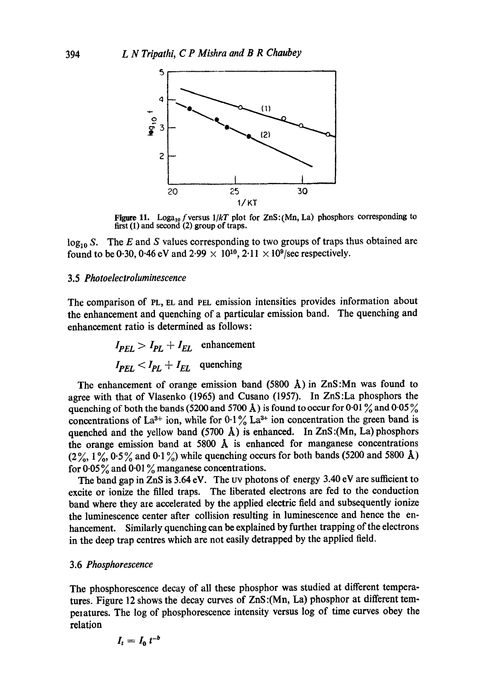

Figure 11. Loga<sub>10</sub> f versus  $1/kT$  plot for  $ZnS:(Mn, La)$  phosphors corresponding to first (1) and second (2) group of traps.

 $log_{10} S$ . The E and S values corresponding to two groups of traps thus obtained are found to be 0.30, 0.46 eV and 2.99  $\times$  10<sup>10</sup>, 2.11  $\times$  10<sup>9</sup>/sec respectively.

#### 3.5 *Photoelectroluminescence*

The comparison of PL, EL and PEL emission intensities provides information about the enhancement and quenching of a particular emission band. The quenching and enhancement ratio is determined as follows:

$$
I_{PEL} > I_{PL} + I_{EL}
$$
 enhancement  

$$
I_{PEL} < I_{PL} + I_{EL}
$$
 quenching

The enhancement of orange emission band (5800 Å) in ZnS: Mn was found to agree with that of Vlasenko (1965) and Cusano (1957). In ZnS:La phosphors the quenching of both the bands (5200 and 5700 Å) is found to occur for 0.01  $\%$  and 0.05  $\%$ concentrations of La<sup>3+</sup> ion, while for  $0.1\%$  La<sup>3+</sup> ion concentration the green band is quenched and the yellow band (5700  $\AA$ ) is enhanced. In ZnS:(Mn, La) phosphors the orange emission band at 5800  $\AA$  is enhanced for manganese concentrations  $(2\%, 1\%, 0.5\%$  and  $0.1\%)$  while quenching occurs for both bands (5200 and 5800 Å) for  $0.05\%$  and  $0.01\%$  manganese concentrations.

The band gap in ZnS is  $3.64$  eV. The UV photons of energy  $3.40$  eV are sufficient to excite or ionize the filled traps. The liberated electrons are fed to the conduction band where they are accelerated by the applied electric field and subsequently ionize the luminescence center after collision resulting in luminescence and hence the enhancement. Similarly quenching can be explained by further trapping of the electrons in the deep trap centres which are not easily detrapped by the applied field.

### *3.6Phosphorescence*

The phosphorescence decay of all these phosphor was studied at different temperatures. Figure 12 shows the decay curves of ZnS:(Mn, La) phosphor at different temperatures. The log of phosphorescence intensity versus log of time curves obey the relation

$$
I_t = I_0 t^{-b}
$$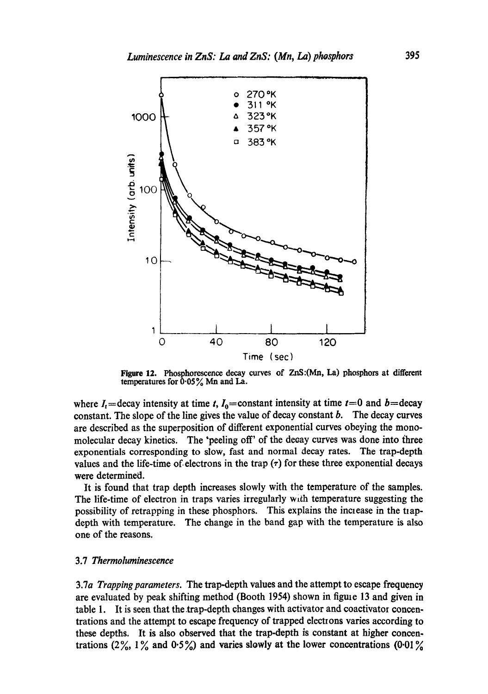

Figure 12. Phosphorescence decay curves of ZnS:(Mn, La) phosphors at **different**  temperatures for  $0.05\%$  Mn and La.

where  $I_t$ =decay intensity at time t,  $I_0$ =constant intensity at time  $t=0$  and  $b=$ decay constant. The slope of the line gives the value of decay constant  $b$ . The decay curves are described as the superposition of different exponential curves obeying the monomolecular decay kinetics. The "peeling off' of the decay curves was done into three exponentials corresponding to slow, fast and normal decay rates. The trap-depth values and the life-time of electrons in the trap  $(\tau)$  for these three exponential decays were determined.

It is found that trap depth increases slowly with the temperature of the samples. The life-time of electron in traps varies irregularly with temperature suggesting the possibility of retrapping in these phosphors. This explains the increase in the trapdepth with temperature. The change in the band gap with the temperature is also one of the reasons.

## 3.7 *Thermoluminescence*

3.7a *Trapping parameters.* The trap-depth values and the attempt to escape frequency are evaluated by peak shifting method (Booth 1954) shown in figure 13 and given in table 1. It is seen that the.trap-depth changes with activator and coactivator concentrations and the attempt to escape frequency of trapped elections varies according to these depths. It is also observed that the trap-depth is constant at higher concentrations  $(2\%, 1\%$  and  $0.5\%)$  and varies slowly at the lower concentrations  $(0.01\%$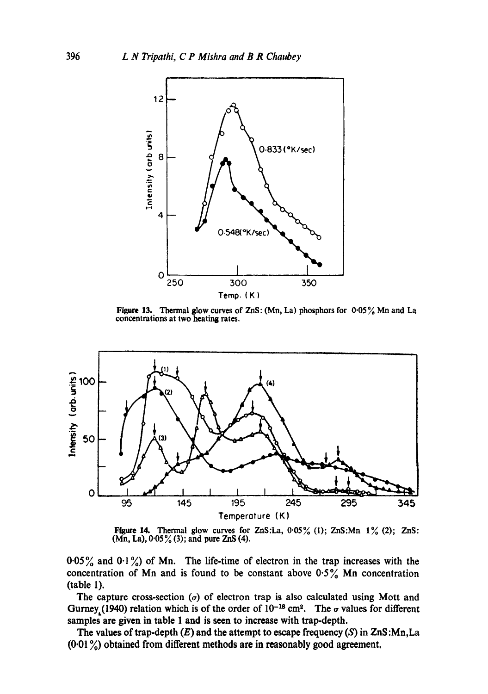

Figure 13. Thermal glow curves of ZnS: (Mn, La) phosphors for 0.05% Mn and La concentrations at two heating rates.



Figure 14. Thermal glow curves for ZnS:La,  $0.05\%$  (1); ZnS:Mn  $1\%$  (2); ZnS:  $(Mn, La), 0.05\%$  (3); and pure ZnS (4).

0.05% and 0.1%) of Mn. The life-time of electron in the trap increases with the concentration of Mn and is found to be constant above  $0.5\%$  Mn concentration (table I).

The capture cross-section ( $\sigma$ ) of electron trap is also calculated using Mott and Gurney,(1940) relation which is of the order of  $10^{-18}$  cm<sup>2</sup>. The  $\sigma$  values for different samples are given in table 1 and is seen to increase with trap-depth.

The values of trap-depth  $(E)$  and the attempt to escape frequency  $(S)$  in  $ZnS:Mn, La$  $(0.01\%)$  obtained from different methods are in reasonably good agreement.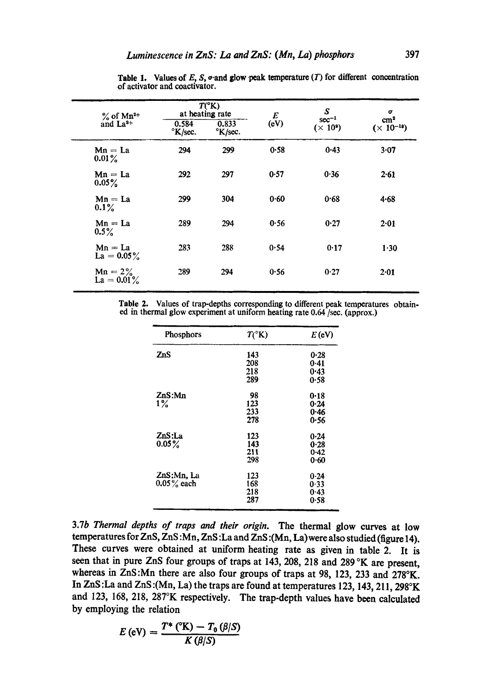| $\%$ of Mn <sup>2+</sup><br>and $La3+$ | $T(^{\circ}K)$<br>at heating rate    |                  | E        | S<br>$sec^{-1}$ | σ                                    |
|----------------------------------------|--------------------------------------|------------------|----------|-----------------|--------------------------------------|
|                                        | 0.584<br>$\mathrm{K}/\mathrm{sec}$ . | 0.833<br>°K/sec. | (eV)     | $(\times 10^9)$ | $\text{cm}^2$<br>$(\times 10^{-18})$ |
| $Mn = La$<br>$0.01\%$                  | 294                                  | 299              | $0 - 58$ | $0 - 43$        | 3.07                                 |
| $Mn = La$<br>$0.05\%$                  | 292                                  | 297              | 0.57     | 0.36            | 2.61                                 |
| $Mn = La$<br>$0.1\%$                   | 299                                  | 304              | 0.60     | 0.68            | 4.68                                 |
| $Mn = La$<br>$0.5\%$                   | 289                                  | 294              | 0.56     | 0.27            | 2.01                                 |
| $Mn = La$<br>$La = 0.05\%$             | 283                                  | 288              | 0.54     | 0.17            | 1.30                                 |
| $Mn = 2\%$<br>$La = 0.01\%$            | 289                                  | 294              | 0.56     | 0.27            | 2.01                                 |

Table 1. Values of E, S,  $\sigma$ -and glow peak temperature (T) for different concentration of activator and coaetivator.

Table 2. Values of trap-depths corresponding to different peak temperatures obtained in thermal glow experiment at uniform heating rate 0.64/see. (approx.)

| Phosphors     | $T(^{\circ}K)$ | $E$ (eV) |
|---------------|----------------|----------|
| ZnS           | 143            | 0.28     |
|               | 208            | 0.41     |
|               | 218            | 0.43     |
|               | 289            | 0.58     |
| ZnS:Mn        | 98             | $0 - 18$ |
| $1\%$         | 123            | 0.24     |
|               | 233            | 0.46     |
|               | 278            | 0.56     |
| ZnS:La        | 123            | 0.24     |
| $0.05\%$      | 143            | 0.28     |
|               | 211            | 0.42     |
|               | 298            | 0.60     |
| ZnS:Mn. La    | 123            | 0.24     |
| $0.05\%$ each | 168            | 0.33     |
|               | 218            | 0.43     |
|               | 287            | 0.58     |

3.7b *Thermal depths of traps and their origin.* The thermal glow curves at low temperatures for ZnS, ZnS :Mn, ZnS :La and ZnS :(Mn, La) were also studied (figure 14). These curves were obtained at uniform heating rate as given in table 2. It is seen that in pure ZnS four groups of traps at 143, 208, 218 and 289 °K are present, whereas in ZnS:Mn there are also four groups of traps at 98, 123, 233 and 278°K. In ZnS :La and ZnS :(Mn, La) the traps are found at temperatures 123, 143, 211,298°K and 123, 168, 218, 287°K respectively. The trap-depth values have been calculated by employing the relation

$$
E\left(\text{eV}\right)=\frac{T^*\left(\text{eK}\right)-T_0\left(\beta\middle|\mathcal{S}\right)}{K\left(\beta\middle|\mathcal{S}\right)}
$$